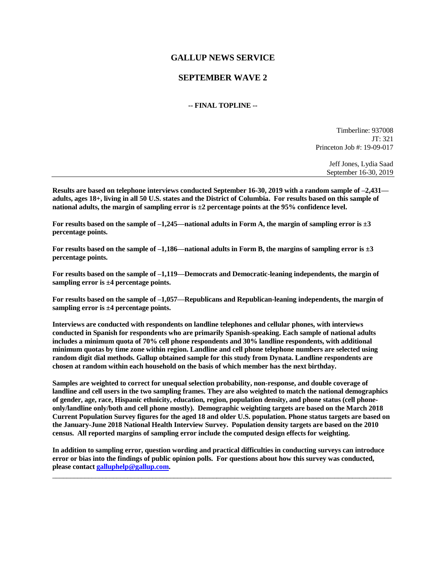# **GALLUP NEWS SERVICE**

## **SEPTEMBER WAVE 2**

### **-- FINAL TOPLINE --**

Timberline: 937008 JT: 321 Princeton Job #: 19-09-017

> Jeff Jones, Lydia Saad September 16-30, 2019

**Results are based on telephone interviews conducted September 16-30, 2019 with a random sample of –2,431 adults, ages 18+, living in all 50 U.S. states and the District of Columbia. For results based on this sample of national adults, the margin of sampling error is ±2 percentage points at the 95% confidence level.** 

**For results based on the sample of –1,245—national adults in Form A, the margin of sampling error is ±3 percentage points.**

**For results based on the sample of –1,186—national adults in Form B, the margins of sampling error is ±3 percentage points.**

**For results based on the sample of –1,119—Democrats and Democratic-leaning independents, the margin of sampling error is ±4 percentage points.**

**For results based on the sample of –1,057—Republicans and Republican-leaning independents, the margin of sampling error is ±4 percentage points.**

**Interviews are conducted with respondents on landline telephones and cellular phones, with interviews conducted in Spanish for respondents who are primarily Spanish-speaking. Each sample of national adults includes a minimum quota of 70% cell phone respondents and 30% landline respondents, with additional minimum quotas by time zone within region. Landline and cell phone telephone numbers are selected using random digit dial methods. Gallup obtained sample for this study from Dynata. Landline respondents are chosen at random within each household on the basis of which member has the next birthday.**

**Samples are weighted to correct for unequal selection probability, non-response, and double coverage of landline and cell users in the two sampling frames. They are also weighted to match the national demographics of gender, age, race, Hispanic ethnicity, education, region, population density, and phone status (cell phoneonly/landline only/both and cell phone mostly). Demographic weighting targets are based on the March 2018 Current Population Survey figures for the aged 18 and older U.S. population. Phone status targets are based on the January-June 2018 National Health Interview Survey. Population density targets are based on the 2010 census. All reported margins of sampling error include the computed design effects for weighting.** 

**In addition to sampling error, question wording and practical difficulties in conducting surveys can introduce error or bias into the findings of public opinion polls. For questions about how this survey was conducted, please contac[t galluphelp@gallup.com.](mailto:galluphelp@gallup.com)**

 $\_$  ,  $\_$  ,  $\_$  ,  $\_$  ,  $\_$  ,  $\_$  ,  $\_$  ,  $\_$  ,  $\_$  ,  $\_$  ,  $\_$  ,  $\_$  ,  $\_$  ,  $\_$  ,  $\_$  ,  $\_$  ,  $\_$  ,  $\_$  ,  $\_$  ,  $\_$  ,  $\_$  ,  $\_$  ,  $\_$  ,  $\_$  ,  $\_$  ,  $\_$  ,  $\_$  ,  $\_$  ,  $\_$  ,  $\_$  ,  $\_$  ,  $\_$  ,  $\_$  ,  $\_$  ,  $\_$  ,  $\_$  ,  $\_$  ,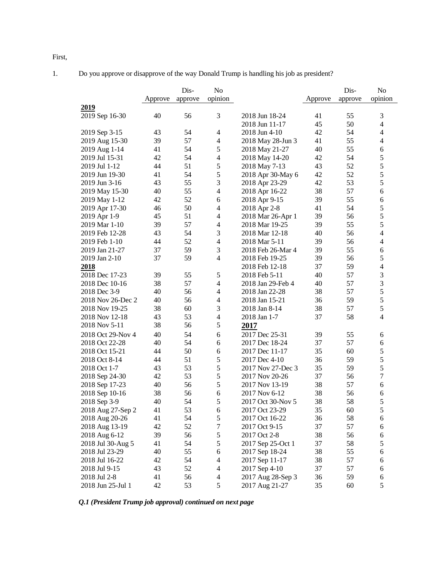First,

1. Do you approve or disapprove of the way Donald Trump is handling his job as president?

|                   | Approve  | Dis-<br>approve | N <sub>o</sub><br>opinion |                   | Approve  | Dis-<br>approve | N <sub>o</sub><br>opinion |
|-------------------|----------|-----------------|---------------------------|-------------------|----------|-----------------|---------------------------|
| 2019              |          |                 |                           |                   |          |                 |                           |
| 2019 Sep 16-30    | 40       | 56              | 3                         | 2018 Jun 18-24    | 41       | 55              | 3                         |
|                   |          |                 |                           | 2018 Jun 11-17    | 45       | 50              | 4                         |
| 2019 Sep 3-15     | 43       | 54              | $\overline{4}$            | 2018 Jun 4-10     | 42       | 54              | 4                         |
| 2019 Aug 15-30    | 39       | 57              | $\overline{\mathcal{A}}$  | 2018 May 28-Jun 3 | 41       | 55              | 4                         |
| 2019 Aug 1-14     | 41       | 54              | 5                         | 2018 May 21-27    | 40       | 55              | 6                         |
| 2019 Jul 15-31    | 42       | 54              | $\overline{4}$            | 2018 May 14-20    | 42       | 54              | 5                         |
| 2019 Jul 1-12     | 44       | 51              | $\sqrt{5}$                | 2018 May 7-13     | 43       | 52              | 5                         |
| 2019 Jun 19-30    | 41       | 54              | $\sqrt{5}$                | 2018 Apr 30-May 6 | 42       | 52              | 5                         |
| 2019 Jun 3-16     | 43       | 55              | $\mathfrak{Z}$            | 2018 Apr 23-29    | 42       | 53              | 5                         |
| 2019 May 15-30    | 40       | 55              | $\overline{4}$            | 2018 Apr 16-22    | 38       | 57              | 6                         |
| 2019 May 1-12     | 42       | 52              | 6                         | 2018 Apr 9-15     | 39       | 55              | 6                         |
| 2019 Apr 17-30    | 46       | 50              | $\overline{4}$            | 2018 Apr 2-8      | 41       | 54              | 5                         |
| 2019 Apr 1-9      | 45       | 51              | $\overline{4}$            | 2018 Mar 26-Apr 1 | 39       | 56              | 5                         |
| 2019 Mar 1-10     | 39       | 57              | $\overline{4}$            | 2018 Mar 19-25    | 39       | 55              | 5                         |
| 2019 Feb 12-28    | 43       | 54              | 3                         | 2018 Mar 12-18    | 40       | 56              | $\overline{\mathcal{L}}$  |
| 2019 Feb 1-10     | 44       | 52              | $\overline{4}$            | 2018 Mar 5-11     | 39       | 56              | 4                         |
| 2019 Jan 21-27    | 37       | 59              | 3                         | 2018 Feb 26-Mar 4 | 39       | 55              | 6                         |
| 2019 Jan 2-10     | 37       | 59              | $\overline{4}$            | 2018 Feb 19-25    | 39       | 56              | 5                         |
| 2018              |          |                 |                           | 2018 Feb 12-18    | 37       | 59              | $\overline{\mathcal{L}}$  |
| 2018 Dec 17-23    | 39       | 55              | 5                         | 2018 Feb 5-11     | 40       | 57              | 3                         |
| 2018 Dec 10-16    | 38       | 57              | $\overline{4}$            | 2018 Jan 29-Feb 4 | 40       | 57              | 3                         |
| 2018 Dec 3-9      | 40       | 56              | $\overline{4}$            | 2018 Jan 22-28    | 38       | 57              | 5                         |
| 2018 Nov 26-Dec 2 | 40       | 56              | $\overline{4}$            | 2018 Jan 15-21    | 36       | 59              | 5                         |
| 2018 Nov 19-25    | 38       | 60              | 3                         | 2018 Jan 8-14     | 38       | 57              | 5                         |
| 2018 Nov 12-18    | 43       | 53              | $\overline{4}$            | 2018 Jan 1-7      | 37       | 58              | 4                         |
| 2018 Nov 5-11     | 38       | 56              | $\mathfrak s$             | 2017              |          |                 |                           |
| 2018 Oct 29-Nov 4 | 40       | 54              | 6                         |                   | 39       | 55              |                           |
|                   |          | 54              |                           | 2017 Dec 25-31    |          | 57              | 6                         |
| 2018 Oct 22-28    | 40       |                 | 6                         | 2017 Dec 18-24    | 37       |                 | 6                         |
| 2018 Oct 15-21    | 44<br>44 | 50<br>51        | 6<br>$\sqrt{5}$           | 2017 Dec 11-17    | 35<br>36 | 60<br>59        | 5<br>5                    |
| 2018 Oct 8-14     |          | 53              | $\sqrt{5}$                | 2017 Dec 4-10     | 35       | 59              | 5                         |
| 2018 Oct 1-7      | 43       |                 | $\sqrt{5}$                | 2017 Nov 27-Dec 3 |          |                 | $\boldsymbol{7}$          |
| 2018 Sep 24-30    | 42       | 53              |                           | 2017 Nov 20-26    | 37       | 56              |                           |
| 2018 Sep 17-23    | 40       | 56              | $\sqrt{5}$                | 2017 Nov 13-19    | 38       | 57              | 6                         |
| 2018 Sep 10-16    | 38       | 56              | $\sqrt{6}$                | 2017 Nov 6-12     | 38       | 56              | 6                         |
| 2018 Sep 3-9      | 40       | 54              | 5                         | 2017 Oct 30-Nov 5 | 38       | 58              | 5                         |
| 2018 Aug 27-Sep 2 | 41       | 53              | 6                         | 2017 Oct 23-29    | 35       | 60              | 5                         |
| 2018 Aug 20-26    | 41       | 54              | 5                         | 2017 Oct 16-22    | 36       | 58              | 6                         |
| 2018 Aug 13-19    | 42       | 52              | $\tau$                    | 2017 Oct 9-15     | 37       | 57              | 6                         |
| 2018 Aug 6-12     | 39       | 56              | 5                         | 2017 Oct 2-8      | 38       | 56              | 6                         |
| 2018 Jul 30-Aug 5 | 41       | 54              | 5                         | 2017 Sep 25-Oct 1 | 37       | 58              | 5                         |
| 2018 Jul 23-29    | 40       | 55              | 6                         | 2017 Sep 18-24    | 38       | 55              | 6                         |
| 2018 Jul 16-22    | 42       | 54              | $\overline{4}$            | 2017 Sep 11-17    | 38       | 57              | 6                         |
| 2018 Jul 9-15     | 43       | 52              | $\overline{4}$            | 2017 Sep 4-10     | 37       | 57              | 6                         |
| 2018 Jul 2-8      | 41       | 56              | $\overline{4}$            | 2017 Aug 28-Sep 3 | 36       | 59              | 6                         |
| 2018 Jun 25-Jul 1 | 42       | 53              | $\sqrt{5}$                | 2017 Aug 21-27    | 35       | 60              | 5                         |

*Q.1 (President Trump job approval) continued on next page*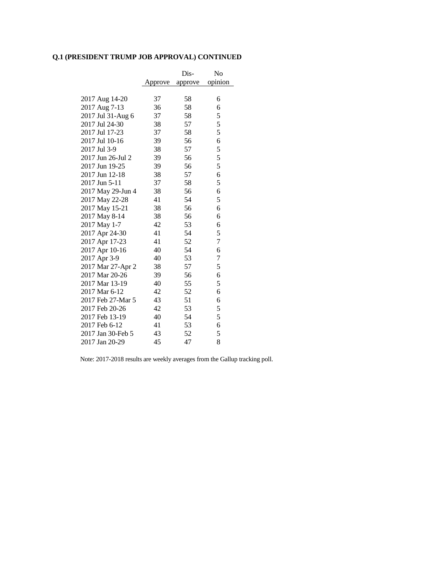# **Q.1 (PRESIDENT TRUMP JOB APPROVAL) CONTINUED**

|                   |         | Dis-    | No               |
|-------------------|---------|---------|------------------|
|                   | Approve | approve | opinion          |
|                   |         |         |                  |
| 2017 Aug 14-20    | 37      | 58      | 6                |
| 2017 Aug 7-13     | 36      | 58      | 6                |
| 2017 Jul 31-Aug 6 | 37      | 58      | 5                |
| 2017 Jul 24-30    | 38      | 57      | 5                |
| 2017 Jul 17-23    | 37      | 58      | 5                |
| 2017 Jul 10-16    | 39      | 56      | 6                |
| 2017 Jul 3-9      | 38      | 57      | 5                |
| 2017 Jun 26-Jul 2 | 39      | 56      | 5                |
| 2017 Jun 19-25    | 39      | 56      | 5                |
| 2017 Jun 12-18    | 38      | 57      | 6                |
| 2017 Jun 5-11     | 37      | 58      | 5                |
| 2017 May 29-Jun 4 | 38      | 56      | 6                |
| 2017 May 22-28    | 41      | 54      | 5                |
| 2017 May 15-21    | 38      | 56      | 6                |
| 2017 May 8-14     | 38      | 56      | 6                |
| 2017 May 1-7      | 42      | 53      | 6                |
| 2017 Apr 24-30    | 41      | 54      | 5                |
| 2017 Apr 17-23    | 41      | 52      | $\tau$           |
| 2017 Apr 10-16    | 40      | 54      | 6                |
| 2017 Apr 3-9      | 40      | 53      | $\boldsymbol{7}$ |
| 2017 Mar 27-Apr 2 | 38      | 57      | 5                |
| 2017 Mar 20-26    | 39      | 56      | 6                |
| 2017 Mar 13-19    | 40      | 55      | 5                |
| 2017 Mar 6-12     | 42      | 52      | 6                |
| 2017 Feb 27-Mar 5 | 43      | 51      | 6                |
| 2017 Feb 20-26    | 42      | 53      | 5                |
| 2017 Feb 13-19    | 40      | 54      | 5                |
| 2017 Feb 6-12     | 41      | 53      | 6                |
| 2017 Jan 30-Feb 5 | 43      | 52      | 5                |
| 2017 Jan 20-29    | 45      | 47      | 8                |

Note: 2017-2018 results are weekly averages from the Gallup tracking poll.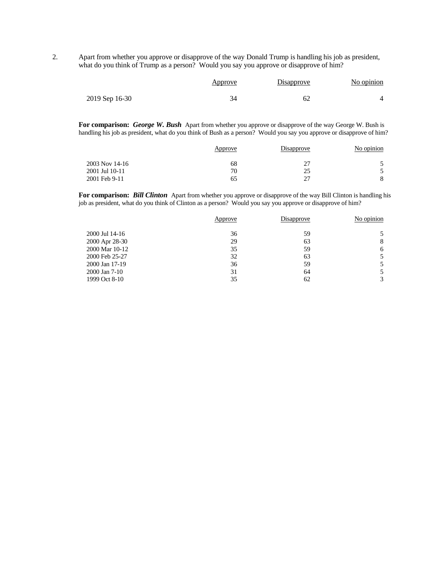2. Apart from whether you approve or disapprove of the way Donald Trump is handling his job as president, what do you think of Trump as a person? Would you say you approve or disapprove of him?

|                | <u>Approve</u> | <b>Disapprove</b> | No opinion |
|----------------|----------------|-------------------|------------|
| 2019 Sep 16-30 |                | 62                |            |

**For comparison:** *George W. Bush* Apart from whether you approve or disapprove of the way George W. Bush is handling his job as president, what do you think of Bush as a person? Would you say you approve or disapprove of him?

|                | Approve | Disapprove | No opinion |
|----------------|---------|------------|------------|
| 2003 Nov 14-16 | 68      | ~          |            |
| 2001 Jul 10-11 | 70      | 25         |            |
| 2001 Feb 9-11  | 65      | -27        |            |

**For comparison:** *Bill Clinton* Apart from whether you approve or disapprove of the way Bill Clinton is handling his job as president, what do you think of Clinton as a person? Would you say you approve or disapprove of him?

|                | Approve | Disapprove | No opinion |
|----------------|---------|------------|------------|
| 2000 Jul 14-16 | 36      | 59         |            |
| 2000 Apr 28-30 | 29      | 63         | 8          |
| 2000 Mar 10-12 | 35      | 59         | 6          |
| 2000 Feb 25-27 | 32      | 63         |            |
| 2000 Jan 17-19 | 36      | 59         |            |
| 2000 Jan 7-10  | 31      | 64         |            |
| 1999 Oct 8-10  | 35      | 62         |            |